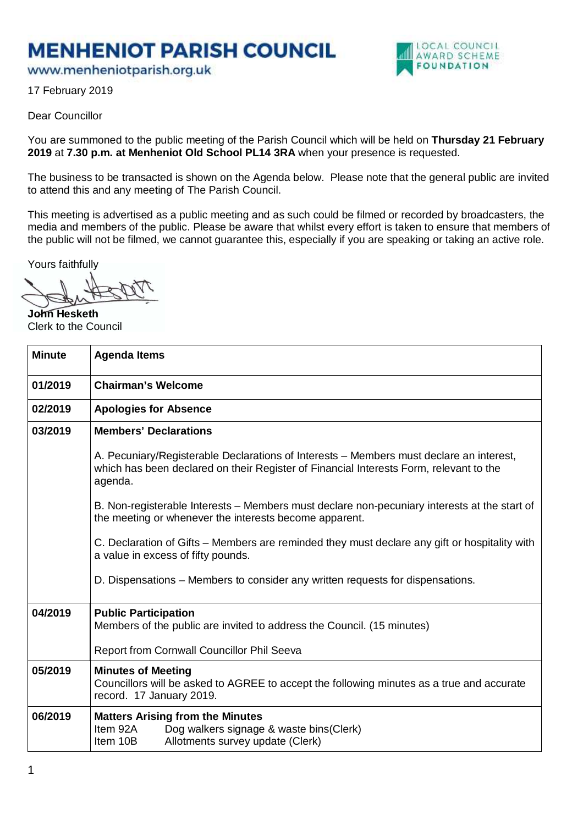## **MENHENIOT PARISH COUNCIL**

www.menheniotparish.org.uk



17 February 2019

## Dear Councillor

You are summoned to the public meeting of the Parish Council which will be held on **Thursday 21 February 2019** at **7.30 p.m. at Menheniot Old School PL14 3RA** when your presence is requested.

The business to be transacted is shown on the Agenda below. Please note that the general public are invited to attend this and any meeting of The Parish Council.

This meeting is advertised as a public meeting and as such could be filmed or recorded by broadcasters, the media and members of the public. Please be aware that whilst every effort is taken to ensure that members of the public will not be filmed, we cannot guarantee this, especially if you are speaking or taking an active role.

Yours faithfully

**John Hesketh**  Clerk to the Council

| <b>Minute</b> | <b>Agenda Items</b>                                                                                                                                                                          |  |  |  |  |  |  |
|---------------|----------------------------------------------------------------------------------------------------------------------------------------------------------------------------------------------|--|--|--|--|--|--|
| 01/2019       | <b>Chairman's Welcome</b>                                                                                                                                                                    |  |  |  |  |  |  |
| 02/2019       | <b>Apologies for Absence</b>                                                                                                                                                                 |  |  |  |  |  |  |
| 03/2019       | <b>Members' Declarations</b>                                                                                                                                                                 |  |  |  |  |  |  |
|               | A. Pecuniary/Registerable Declarations of Interests – Members must declare an interest,<br>which has been declared on their Register of Financial Interests Form, relevant to the<br>agenda. |  |  |  |  |  |  |
|               | B. Non-registerable Interests – Members must declare non-pecuniary interests at the start of<br>the meeting or whenever the interests become apparent.                                       |  |  |  |  |  |  |
|               | C. Declaration of Gifts – Members are reminded they must declare any gift or hospitality with<br>a value in excess of fifty pounds.                                                          |  |  |  |  |  |  |
|               | D. Dispensations – Members to consider any written requests for dispensations.                                                                                                               |  |  |  |  |  |  |
| 04/2019       | <b>Public Participation</b><br>Members of the public are invited to address the Council. (15 minutes)                                                                                        |  |  |  |  |  |  |
|               | Report from Cornwall Councillor Phil Seeva                                                                                                                                                   |  |  |  |  |  |  |
| 05/2019       | <b>Minutes of Meeting</b><br>Councillors will be asked to AGREE to accept the following minutes as a true and accurate<br>record. 17 January 2019.                                           |  |  |  |  |  |  |
| 06/2019       | <b>Matters Arising from the Minutes</b><br>Item 92A<br>Dog walkers signage & waste bins(Clerk)<br>Item 10B<br>Allotments survey update (Clerk)                                               |  |  |  |  |  |  |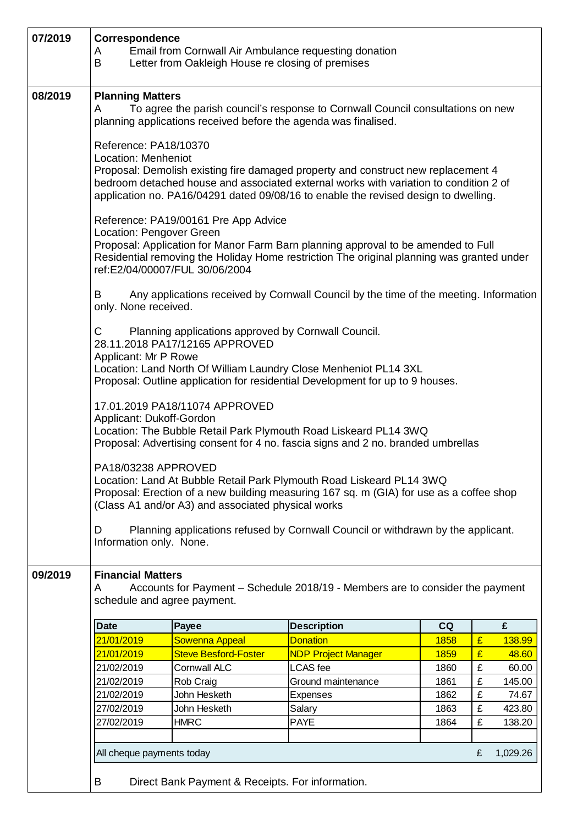| 07/2019 | Correspondence<br>Email from Cornwall Air Ambulance requesting donation<br>A<br>B<br>Letter from Oakleigh House re closing of premises                                                                                                                                                                            |                             |                            |      |   |        |  |  |  |
|---------|-------------------------------------------------------------------------------------------------------------------------------------------------------------------------------------------------------------------------------------------------------------------------------------------------------------------|-----------------------------|----------------------------|------|---|--------|--|--|--|
| 08/2019 | <b>Planning Matters</b><br>To agree the parish council's response to Cornwall Council consultations on new<br>A<br>planning applications received before the agenda was finalised.                                                                                                                                |                             |                            |      |   |        |  |  |  |
|         | Reference: PA18/10370<br>Location: Menheniot<br>Proposal: Demolish existing fire damaged property and construct new replacement 4<br>bedroom detached house and associated external works with variation to condition 2 of<br>application no. PA16/04291 dated 09/08/16 to enable the revised design to dwelling. |                             |                            |      |   |        |  |  |  |
|         | Reference: PA19/00161 Pre App Advice<br>Location: Pengover Green<br>Proposal: Application for Manor Farm Barn planning approval to be amended to Full<br>Residential removing the Holiday Home restriction The original planning was granted under<br>ref:E2/04/00007/FUL 30/06/2004                              |                             |                            |      |   |        |  |  |  |
|         | Any applications received by Cornwall Council by the time of the meeting. Information<br>B<br>only. None received.                                                                                                                                                                                                |                             |                            |      |   |        |  |  |  |
|         | Planning applications approved by Cornwall Council.<br>C<br>28.11.2018 PA17/12165 APPROVED<br>Applicant: Mr P Rowe<br>Location: Land North Of William Laundry Close Menheniot PL14 3XL<br>Proposal: Outline application for residential Development for up to 9 houses.                                           |                             |                            |      |   |        |  |  |  |
|         | 17.01.2019 PA18/11074 APPROVED<br>Applicant: Dukoff-Gordon<br>Location: The Bubble Retail Park Plymouth Road Liskeard PL14 3WQ<br>Proposal: Advertising consent for 4 no. fascia signs and 2 no. branded umbrellas                                                                                                |                             |                            |      |   |        |  |  |  |
|         | PA18/03238 APPROVED<br>Location: Land At Bubble Retail Park Plymouth Road Liskeard PL14 3WQ<br>Proposal: Erection of a new building measuring 167 sq. m (GIA) for use as a coffee shop<br>(Class A1 and/or A3) and associated physical works                                                                      |                             |                            |      |   |        |  |  |  |
|         | Planning applications refused by Cornwall Council or withdrawn by the applicant.<br>D<br>Information only. None.                                                                                                                                                                                                  |                             |                            |      |   |        |  |  |  |
| 09/2019 | <b>Financial Matters</b><br>Accounts for Payment – Schedule 2018/19 - Members are to consider the payment<br>A<br>schedule and agree payment.                                                                                                                                                                     |                             |                            |      |   |        |  |  |  |
|         | <b>Date</b>                                                                                                                                                                                                                                                                                                       | Payee                       | <b>Description</b>         | CQ   |   | £      |  |  |  |
|         | 21/01/2019                                                                                                                                                                                                                                                                                                        | <b>Sowenna Appeal</b>       | <b>Donation</b>            | 1858 | £ | 138.99 |  |  |  |
|         | 21/01/2019                                                                                                                                                                                                                                                                                                        | <b>Steve Besford-Foster</b> | <b>NDP Project Manager</b> | 1859 | £ | 48.60  |  |  |  |
|         | 21/02/2019                                                                                                                                                                                                                                                                                                        | <b>Cornwall ALC</b>         | <b>LCAS</b> fee            | 1860 | £ | 60.00  |  |  |  |
|         | 21/02/2019                                                                                                                                                                                                                                                                                                        | Rob Craig                   | Ground maintenance         | 1861 | £ | 145.00 |  |  |  |
|         | 21/02/2019                                                                                                                                                                                                                                                                                                        | John Hesketh                | Expenses                   | 1862 | £ | 74.67  |  |  |  |
|         | 27/02/2019                                                                                                                                                                                                                                                                                                        | John Hesketh                | Salary                     | 1863 | £ | 423.80 |  |  |  |
|         | 27/02/2019                                                                                                                                                                                                                                                                                                        | <b>HMRC</b>                 | <b>PAYE</b>                | 1864 | £ | 138.20 |  |  |  |
|         | 1,029.26<br>All cheque payments today<br>£                                                                                                                                                                                                                                                                        |                             |                            |      |   |        |  |  |  |
|         | B<br>Direct Bank Payment & Receipts. For information.                                                                                                                                                                                                                                                             |                             |                            |      |   |        |  |  |  |